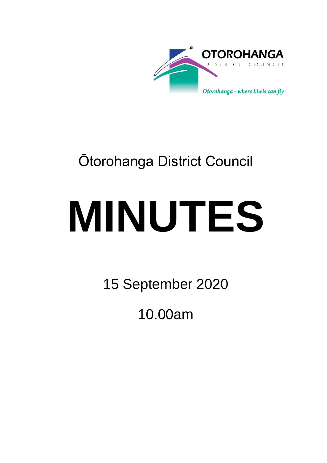

## Ōtorohanga District Council

# **MINUTES**

15 September 2020

10.00am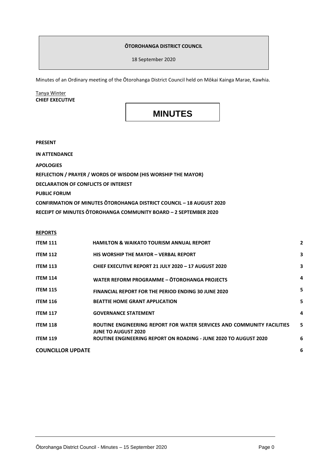#### **ŌTOROHANGA DISTRICT COUNCIL**

18 September 2020

Minutes of an Ordinary meeting of the Ōtorohanga District Council held on Mōkai Kainga Marae, Kawhia.

#### Tanya Winter **CHIEF EXECUTIVE**

### **MINUTES**

**PRESENT**

**IN ATTENDANCE**

**APOLOGIES**

**REFLECTION / PRAYER / WORDS OF WISDOM (HIS WORSHIP THE MAYOR)**

**DECLARATION OF CONFLICTS OF INTEREST**

**PUBLIC FORUM**

**CONFIRMATION OF MINUTES ŌTOROHANGA DISTRICT COUNCIL – 18 AUGUST 2020**

**RECEIPT OF MINUTES ŌTOROHANGA COMMUNITY BOARD – 2 SEPTEMBER 2020**

#### **REPORTS**

| <b>ITEM 111</b>          | <b>HAMILTON &amp; WAIKATO TOURISM ANNUAL REPORT</b>                                                  | $\overline{2}$ |
|--------------------------|------------------------------------------------------------------------------------------------------|----------------|
| <b>ITEM 112</b>          | <b>HIS WORSHIP THE MAYOR - VERBAL REPORT</b>                                                         | 3              |
| <b>ITEM 113</b>          | CHIEF EXECUTIVE REPORT 21 JULY 2020 - 17 AUGUST 2020                                                 | 3              |
| <b>ITEM 114</b>          | WATER REFORM PROGRAMME - OTOROHANGA PROJECTS                                                         | 4              |
| <b>ITEM 115</b>          | <b>FINANCIAL REPORT FOR THE PERIOD ENDING 30 JUNE 2020</b>                                           | 5              |
| <b>ITEM 116</b>          | <b>BEATTIE HOME GRANT APPLICATION</b>                                                                | 5              |
| <b>ITEM 117</b>          | <b>GOVERNANCE STATEMENT</b>                                                                          | 4              |
| <b>ITEM 118</b>          | ROUTINE ENGINEERING REPORT FOR WATER SERVICES AND COMMUNITY FACILITIES<br><b>JUNE TO AUGUST 2020</b> | 5              |
| <b>ITEM 119</b>          | ROUTINE ENGINEERING REPORT ON ROADING - JUNE 2020 TO AUGUST 2020                                     | 6              |
| <b>COUNCILLOR UPDATE</b> |                                                                                                      | 6              |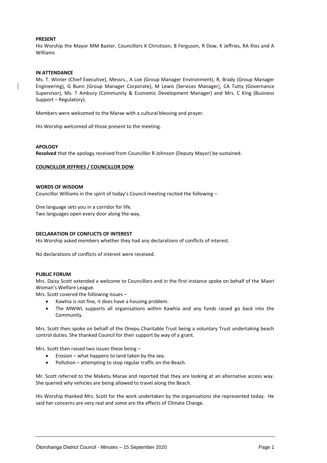#### **PRESENT**

His Worship the Mayor MM Baxter, Councillors K Christison, B Ferguson, R Dow, K Jeffries, RA Klos and A Williams

#### **IN ATTENDANCE**

Ms. T. Winter (Chief Executive), Messrs., A Loe (Group Manager Environment), R, Brady (Group Manager Engineering), G Bunn (Group Manager Corporate), M Lewis (Services Manager), CA Tutty (Governance Supervisor), Ms. T Ambury (Community & Economic Development Manager) and Mrs. C King (Business Support – Regulatory).

Members were welcomed to the Marae with a cultural blessing and prayer.

His Worship welcomed all those present to the meeting.

#### **APOLOGY**

**Resolved** that the apology received from Councillor R Johnson (Deputy Mayor) be sustained.

#### **COUNCILLOR JEFFRIES / COUNCILLOR DOW**

#### **WORDS OF WISDOM**

Councillor Williams in the spirit of today's Council meeting recited the following –

One language sets you in a corridor for life. Two languages open every door along the way.

#### **DECLARATION OF CONFLICTS OF INTEREST**

His Worship asked members whether they had any declarations of conflicts of interest.

No declarations of conflicts of interest were received.

#### **PUBLIC FORUM**

Mrs. Daisy Scott extended a welcome to Councillors and in the first instance spoke on behalf of the Maori Woman's Welfare League.

Mrs. Scott covered the following issues –

- Kawhia is not fine, it does have a housing problem.
- The MWWL supports all organisations within Kawhia and any funds raised go back into the Community.

Mrs. Scott then spoke on behalf of the Onepu Charitable Trust being a voluntary Trust undertaking beach control duties. She thanked Council for their support by way of a grant.

Mrs. Scott then raised two issues these being –

- $\bullet$  Erosion what happens to land taken by the sea.
- Pollution attempting to stop regular traffic on the Beach.

Mr. Scott referred to the Maketu Marae and reported that they are looking at an alternative access way. She queried why vehicles are being allowed to travel along the Beach.

His Worship thanked Mrs. Scott for the work undertaken by the organisations she represented today. He said her concerns are very real and some are the effects of Climate Change.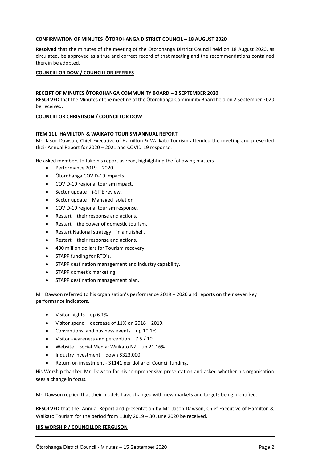#### **CONFIRMATION OF MINUTES ŌTOROHANGA DISTRICT COUNCIL – 18 AUGUST 2020**

**Resolved** that the minutes of the meeting of the Ōtorohanga District Council held on 18 August 2020, as circulated, be approved as a true and correct record of that meeting and the recommendations contained therein be adopted.

#### **COUNCILLOR DOW / COUNCILLOR JEFFRIES**

#### **RECEIPT OF MINUTES ŌTOROHANGA COMMUNITY BOARD – 2 SEPTEMBER 2020**

**RESOLVED** that the Minutes of the meeting of the Ōtorohanga Community Board held on 2 September 2020 be received.

#### **COUNCILLOR CHRISTISON / COUNCILLOR DOW**

#### **ITEM 111 HAMILTON & WAIKATO TOURISM ANNUAL REPORT**

Mr. Jason Dawson, Chief Executive of Hamilton & Waikato Tourism attended the meeting and presented their Annual Report for 2020 – 2021 and COVID-19 response.

He asked members to take his report as read, highilghting the following matters-

- $\bullet$  Performance 2019 2020.
- Ōtorohanga COVID-19 impacts.
- COVID-19 regional tourism impact.
- Sector update i-SITE review.
- Sector update Managed Isolation
- COVID-19 regional tourism response.
- Restart their response and actions.
- Restart the power of domestic tourism.
- Restart National strategy in a nutshell.
- Restart their response and actions.
- 400 million dollars for Tourism recovery.
- STAPP funding for RTO's.
- STAPP destination management and industry capability.
- STAPP domestic marketing.
- STAPP destination management plan.

Mr. Dawson referred to his organisation's performance 2019 – 2020 and reports on their seven key performance indicators.

- Visitor nights up 6.1%
- Visitor spend decrease of 11% on 2018 2019.
- Conventions and business events up 10.1%
- Visitor awareness and perception 7.5 / 10
- Website Social Media; Waikato NZ up 21.16%
- Industry investment down \$323,000
- Return on investment \$1141 per dollar of Council funding.

His Worship thanked Mr. Dawson for his comprehensive presentation and asked whether his organisation sees a change in focus.

Mr. Dawson replied that their models have changed with new markets and targets being identified.

**RESOLVED** that the Annual Report and presentation by Mr. Jason Dawson, Chief Executive of Hamilton & Waikato Tourism for the period from 1 July 2019 – 30 June 2020 be received.

#### **HIS WORSHIP / COUNCILLOR FERGUSON**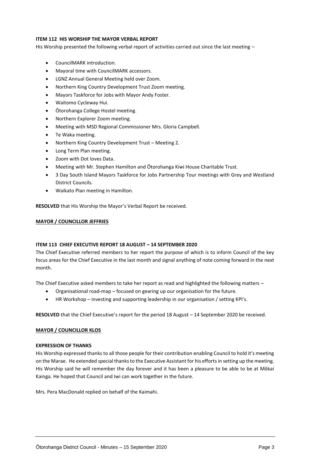#### **ITEM 112 HIS WORSHIP THE MAYOR VERBAL REPORT**

His Worship presented the following verbal report of activities carried out since the last meeting -

- CouncilMARK introduction.
- Mayoral time with CouncilMARK accessors.
- LGNZ Annual General Meeting held over Zoom.
- Northern King Country Development Trust Zoom meeting.
- Mayors Taskforce for Jobs with Mayor Andy Foster.
- Waitomo Cycleway Hui.
- Ōtorohanga College Hostel meeting.
- Northern Explorer Zoom meeting.
- Meeting with MSD Regional Commissioner Mrs. Gloria Campbell.
- Te Waka meeting.
- Northern King Country Development Trust Meeting 2.
- Long Term Plan meeting.
- Zoom with Dot loves Data.
- Meeting with Mr. Stephen Hamilton and Ōtorohanga Kiwi House Charitable Trust.
- 3 Day South Island Mayors Taskforce for Jobs Partnership Tour meetings with Grey and Westland District Councils.
- Waikato Plan meeting in Hamilton.

**RESOLVED** that His Worship the Mayor's Verbal Report be received.

#### **MAYOR / COUNCILLOR JEFFRIES**

#### **ITEM 113 CHIEF EXECUTIVE REPORT 18 AUGUST – 14 SEPTEMBER 2020**

The Chief Executive referred members to her report the purpose of which is to inform Council of the key focus areas for the Chief Executive in the last month and signal anything of note coming forward in the next month.

The Chief Executive asked members to take her report as read and highlighted the following matters –

- Organisational road-map focused on gearing up our organisation for the future.
- HR Workshop investing and supporting leadership in our organisation / setting KPI's.

**RESOLVED** that the Chief Executive's report for the period 18 August – 14 September 2020 be received.

#### **MAYOR / COUNCILLOR KLOS**

#### **EXPRESSION OF THANKS**

His Worship expressed thanks to all those people for their contribution enabling Council to hold it's meeting on the Marae. He extended special thanks to the Executive Assistant for his efforts in setting up the meeting. His Worship said he will remember the day forever and it has been a pleasure to be able to be at Mōkai Kainga. He hoped that Council and Iwi can work together in the future.

Mrs. Pera MacDonald replied on behalf of the Kaimahi.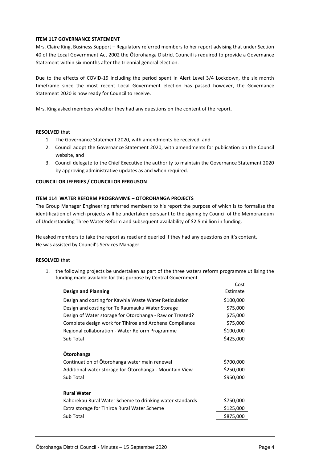#### **ITEM 117 GOVERNANCE STATEMENT**

Mrs. Claire King, Business Support – Regulatory referred members to her report advising that under Section 40 of the Local Government Act 2002 the Ōtorohanga District Council is required to provide a Governance Statement within six months after the triennial general election.

Due to the effects of COVID-19 including the period spent in Alert Level 3/4 Lockdown, the six month timeframe since the most recent Local Government election has passed however, the Governance Statement 2020 is now ready for Council to receive.

Mrs. King asked members whether they had any questions on the content of the report.

#### **RESOLVED** that

- 1. The Governance Statement 2020, with amendments be received, and
- 2. Council adopt the Governance Statement 2020, with amendments for publication on the Council website, and
- 3. Council delegate to the Chief Executive the authority to maintain the Governance Statement 2020 by approving administrative updates as and when required.

#### **COUNCILLOR JEFFRIES / COUNCILLOR FERGUSON**

#### **ITEM 114 WATER REFORM PROGRAMME – ŌTOROHANGA PROJECTS**

The Group Manager Engineering referred members to his report the purpose of which is to formalise the identification of which projects will be undertaken persuant to the signing by Council of the Memorandum of Understanding Three Water Reform and subsequent availability of \$2.5 million in funding.

He asked members to take the report as read and queried if they had any questions on it's content. He was assisted by Council's Services Manager.

#### **RESOLVED** that

1. the following projects be undertaken as part of the three waters reform programme utilising the funding made available for this purpose by Central Government.

|                                                          | COST      |
|----------------------------------------------------------|-----------|
| <b>Design and Planning</b>                               | Estimate  |
| Design and costing for Kawhia Waste Water Reticulation   | \$100,000 |
| Design and costing for Te Raumauku Water Storage         | \$75,000  |
| Design of Water storage for Otorohanga - Raw or Treated? | \$75,000  |
| Complete design work for Tihiroa and Arohena Compliance  | \$75,000  |
| Regional collaboration - Water Reform Programme          | \$100,000 |
| Sub Total                                                | \$425,000 |
|                                                          |           |
| <b>Otorohanga</b>                                        |           |
| Continuation of Otorohanga water main renewal            | \$700,000 |
| Additional water storage for Otorohanga - Mountain View  | \$250,000 |
| Sub Total                                                | \$950,000 |
|                                                          |           |
| <b>Rural Water</b>                                       |           |
| Kahorekau Rural Water Scheme to drinking water standards | \$750,000 |
| Extra storage for Tihiroa Rural Water Scheme             | \$125,000 |
| Sub Total                                                | \$875,000 |
|                                                          |           |

 $\sim$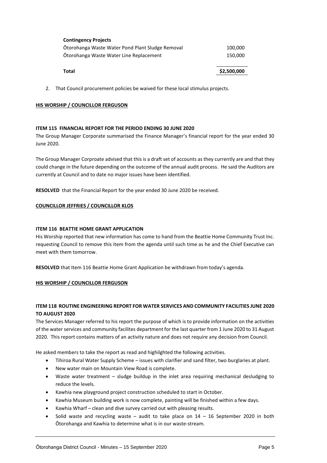| Total                                            | \$2,500,000 |
|--------------------------------------------------|-------------|
| Otorohanga Waste Water Line Replacement          | 150,000     |
| Otorohanga Waste Water Pond Plant Sludge Removal | 100,000     |
| <b>Contingency Projects</b>                      |             |

2. That Council procurement policies be waived for these local stimulus projects.

#### **HIS WORSHIP / COUNCILLOR FERGUSON**

#### **ITEM 115 FINANCIAL REPORT FOR THE PERIOD ENDING 30 JUNE 2020**

The Group Manager Corporate summarised the Finance Manager's financial report for the year ended 30 June 2020.

The Group Manager Corproate advised that this is a draft set of accounts as they currently are and that they could change in the future depending on the outcome of the annual audit process. He said the Auditors are currently at Council and to date no major issues have been identified.

**RESOLVED** that the Financial Report for the year ended 30 June 2020 be received.

#### **COUNCILLOR JEFFRIES / COUNCILLOR KLOS**

#### **ITEM 116 BEATTIE HOME GRANT APPLICATION**

His Worship reported that new information has come to hand from the Beattie Home Community Trust Inc. requesting Council to remove this item from the agenda until such time as he and the Chief Executive can meet with them tomorrow.

**RESOLVED** that Item 116 Beattie Home Grant Application be withdrawn from today's agenda.

#### **HIS WORSHIP / COUNCILLOR FERGUSON**

#### **ITEM 118 ROUTINE ENGINEERING REPORT FOR WATER SERVICES AND COMMUNITY FACILITIES JUNE 2020 TO AUGUST 2020**

The Services Manager referred to his report the purpose of which is to provide information on the activities of the water services and community facilites department for the last quarter from 1 June 2020 to 31 August 2020. This report contains matters of an activity nature and does not require any decision from Council.

He asked members to take the report as read and highilghted the following activities.

- Tihiroa Rural Water Supply Scheme issues with clarifier and sand filter, two burglaries at plant.
- New water main on Mountain View Road is complete.
- Waste water treatment sludge buildup in the inlet area requiring mechanical desludging to reduce the levels.
- Kawhia new playground project construction scheduled to start in October.
- Kawhia Museum building work is now complete, painting will be finished within a few days.
- Kawhia Wharf clean and dive survey carried out with pleasing results.
- Solid waste and recycling waste audit to take place on  $14 16$  September 2020 in both Ōtorohanga and Kawhia to determine what is in our waste-stream.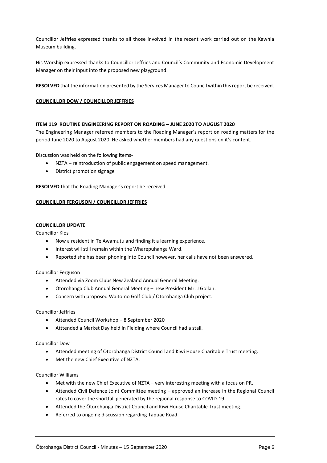Councillor Jeffries expressed thanks to all those involved in the recent work carried out on the Kawhia Museum building.

His Worship expressed thanks to Councillor Jeffries and Council's Community and Economic Development Manager on their input into the proposed new playground.

**RESOLVED** that the information presented by the Services Manager to Council within this report be received.

#### **COUNCILLOR DOW / COUNCILLOR JEFFRIES**

#### **ITEM 119 ROUTINE ENGINEERING REPORT ON ROADING – JUNE 2020 TO AUGUST 2020**

The Engineering Manager referred members to the Roading Manager's report on roading matters for the period June 2020 to August 2020. He asked whether members had any questions on it's content.

Discussion was held on the following items-

- NZTA reintroduction of public engagement on speed management.
- District promotion signage

**RESOLVED** that the Roading Manager's report be received.

#### **COUNCILLOR FERGUSON / COUNCILLOR JEFFRIES**

#### **COUNCILLOR UPDATE**

Councillor Klos

- Now a resident in Te Awamutu and finding it a learning experience.
- Interest will still remain within the Wharepuhanga Ward.
- Reported she has been phoning into Council however, her calls have not been answered.

#### Councillor Ferguson

- Attended via Zoom Clubs New Zealand Annual General Meeting.
- Ōtorohanga Club Annual General Meeting new President Mr. J Gollan.
- Concern with proposed Waitomo Golf Club / Ōtorohanga Club project.

#### Councillor Jeffries

- Attended Council Workshop 8 September 2020
- Atttended a Market Day held in Fielding where Council had a stall.

#### Councillor Dow

- Attended meeting of Ōtorohanga District Council and Kiwi House Charitable Trust meeting.
- Met the new Chief Executive of NZTA.

#### Councillor Williams

- Met with the new Chief Executive of NZTA very interesting meeting with a focus on PR.
- Attended Civil Defence Joint Committee meeting approved an increase in the Regional Council rates to cover the shortfall generated by the regional response to COVID-19.
- Attended the Ōtorohanga District Council and Kiwi House Charitable Trust meeting.
- Referred to ongoing discussion regarding Tapuae Road.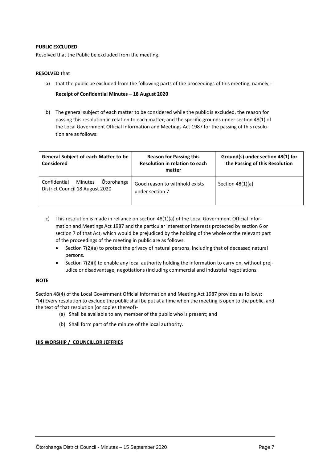#### **PUBLIC EXCLUDED**

Resolved that the Public be excluded from the meeting.

#### **RESOLVED** that

a) that the public be excluded from the following parts of the proceedings of this meeting, namely,-

#### **Receipt of Confidential Minutes – 18 August 2020**

b) The general subject of each matter to be considered while the public is excluded, the reason for passing this resolution in relation to each matter, and the specific grounds under section 48(1) of the Local Government Official Information and Meetings Act 1987 for the passing of this resolution are as follows:

| General Subject of each Matter to be<br><b>Considered</b>                       | <b>Reason for Passing this</b><br>Resolution in relation to each<br>matter | Ground(s) under section 48(1) for<br>the Passing of this Resolution |
|---------------------------------------------------------------------------------|----------------------------------------------------------------------------|---------------------------------------------------------------------|
| Ōtorohanga<br>Confidential<br><b>Minutes</b><br>District Council 18 August 2020 | Good reason to withhold exists<br>under section 7                          | Section $48(1)(a)$                                                  |

- c) This resolution is made in reliance on [section 48\(1\)\(a\)](http://www.legislation.govt.nz/act/public/1987/0174/latest/whole.html#DLM123095) of the Local Government Official Information and Meetings Act 1987 and the particular interest or interests protected by section 6 or [section 7](http://www.legislation.govt.nz/act/public/1987/0174/latest/whole.html#DLM122287) of that Act, which would be prejudiced by the holding of the whole or the relevant part of the proceedings of the meeting in public are as follows:
	- Section 7(2)(a) to protect the privacy of natural persons, including that of deceased natural persons.
	- Section 7(2)(i) to enable any local authority holding the information to carry on, without prejudice or disadvantage, negotiations (including commercial and industrial negotiations.

#### **NOTE**

Section 48(4) of the Local Government Official Information and Meeting Act 1987 provides as follows: "(4) Every resolution to exclude the public shall be put at a time when the meeting is open to the public, and the text of that resolution (or copies thereof)-

- (a) Shall be available to any member of the public who is present; and
- (b) Shall form part of the minute of the local authority.

#### **HIS WORSHIP / COUNCILLOR JEFFRIES**